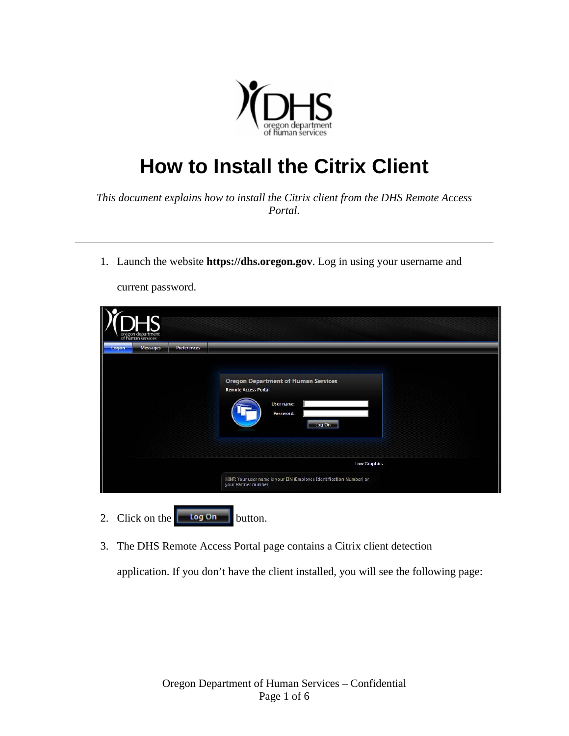

## **How to Install the Citrix Client**

*This document explains how to install the Citrix client from the DHS Remote Access Portal.* 

1. Launch the website **https://dhs.oregon.gov**. Log in using your username and

| of human services<br><b>Messages</b><br>Preferences<br>Logon |                                                                                                                       |
|--------------------------------------------------------------|-----------------------------------------------------------------------------------------------------------------------|
|                                                              | <b>Oregon Department of Human Services</b><br><b>Remote Access Portal</b><br><b>User name:</b><br>Password:<br>Log On |
|                                                              | <b>Low Graphics</b>                                                                                                   |
|                                                              | HINT: Your user name is your EIN (Employee Identification Number) or<br>your Partner number.                          |

current password.

3. The DHS Remote Access Portal page contains a Citrix client detection

application. If you don't have the client installed, you will see the following page: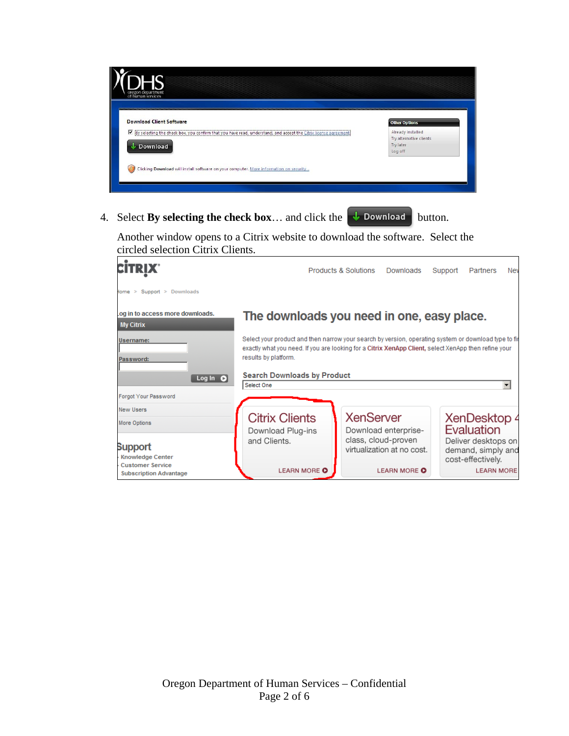| <b>Download Client Software</b>                                                                                     | <b>Other Options</b>                         |
|---------------------------------------------------------------------------------------------------------------------|----------------------------------------------|
| Ⅳ (By selecting the check box, you confirm that you have read, understand, and accept the Citrix license agreement) | Already installed<br>Try alternative clients |
| <b>J</b> Download                                                                                                   | Try later<br>Log off                         |

4. Select **By selecting the check box**... and click the  $\downarrow$  **Download** button.

Another window opens to a Citrix website to download the software. Select the circled selection Citrix Clients.

|                                                          |                                                                                                                                                                                                                                                                            | Products & Solutions | Downloads                                         | Support | <b>Partners</b>                                                | Nev |
|----------------------------------------------------------|----------------------------------------------------------------------------------------------------------------------------------------------------------------------------------------------------------------------------------------------------------------------------|----------------------|---------------------------------------------------|---------|----------------------------------------------------------------|-----|
| Iome > Support > Downloads                               |                                                                                                                                                                                                                                                                            |                      |                                                   |         |                                                                |     |
| og in to access more downloads.<br><b>My Citrix</b>      | The downloads you need in one, easy place.                                                                                                                                                                                                                                 |                      |                                                   |         |                                                                |     |
| Username:<br>Password:<br>Log In $\bullet$               | Select your product and then narrow your search by version, operating system or download type to fir<br>exactly what you need. If you are looking for a Citrix XenApp Client, select XenApp then refine your<br>results by platform.<br><b>Search Downloads by Product</b> |                      |                                                   |         |                                                                |     |
| Forgot Your Password                                     | Select One                                                                                                                                                                                                                                                                 |                      |                                                   |         |                                                                | ▼   |
| <b>New Users</b>                                         |                                                                                                                                                                                                                                                                            |                      |                                                   |         |                                                                |     |
| More Options                                             | <b>Citrix Clients</b><br>Download Plug-ins                                                                                                                                                                                                                                 | <b>XenServer</b>     | Download enterprise-                              |         | XenDesktop 4<br>Evaluation                                     |     |
| Support<br><b>Knowledge Center</b>                       | and Clients.                                                                                                                                                                                                                                                               |                      | class, cloud-proven<br>virtualization at no cost. |         | Deliver desktops on<br>demand, simply and<br>cost-effectively. |     |
| <b>Customer Service</b><br><b>Subscription Advantage</b> | <b>LEARN MORE O</b>                                                                                                                                                                                                                                                        |                      | <b>LEARN MORE O</b>                               |         | <b>LEARN MORE</b>                                              |     |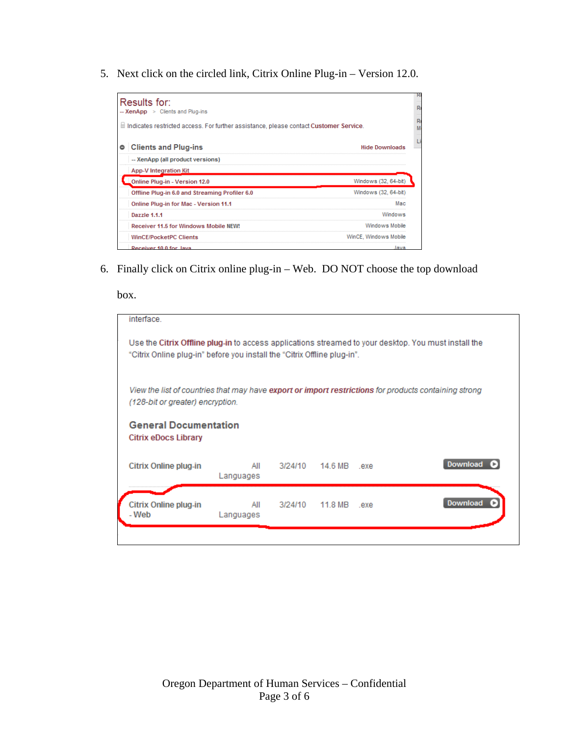5. Next click on the circled link, Citrix Online Plug-in – Version 12.0.

| Results for:<br>-- XenApp > Clients and Plug-ins                                                  |                       |
|---------------------------------------------------------------------------------------------------|-----------------------|
| $\parallel$ Indicates restricted access. For further assistance, please contact Customer Service. |                       |
| <b>Clients and Plug-ins</b>                                                                       | <b>Hide Downloads</b> |
| -- XenApp (all product versions)                                                                  |                       |
| <b>App-V Integration Kit</b>                                                                      |                       |
| Online Plug-in - Version 12.0                                                                     | Windows (32, 64-bit)  |
| Offline Plug-in 6.0 and Streaming Profiler 6.0                                                    | Windows (32, 64-bit)  |
| <b>Online Plug-in for Mac - Version 11.1</b>                                                      | Мас                   |
| Dazzle 1.1.1                                                                                      | Windows               |
| Receiver 11.5 for Windows Mobile NEW!                                                             | Windows Mobile        |
| <b>WinCE/PocketPC Clients</b>                                                                     | WinCE, Windows Mobile |
| Bessiuss 40.0 fax. Java                                                                           | lassa                 |

6. Finally click on Citrix online plug-in – Web. DO NOT choose the top download

box.

| interface.                                                                                                                                                                       |                  |         |              |     |          |
|----------------------------------------------------------------------------------------------------------------------------------------------------------------------------------|------------------|---------|--------------|-----|----------|
| Use the Citrix Offline plug-in to access applications streamed to your desktop. You must install the<br>"Citrix Online plug-in" before you install the "Citrix Offline plug-in". |                  |         |              |     |          |
| View the list of countries that may have <b>export or import restrictions</b> for products containing strong<br>(128-bit or greater) encryption.                                 |                  |         |              |     |          |
| <b>General Documentation</b><br>Citrix eDocs Library                                                                                                                             |                  |         |              |     |          |
| Citrix Online plug-in                                                                                                                                                            | All<br>Languages | 3/24/10 | 14.6 MB .exe |     | Download |
| Citrix Online plug-in<br>- Web                                                                                                                                                   | All<br>Languages | 3/24/10 | 11.8 MB      | exe | Download |
|                                                                                                                                                                                  |                  |         |              |     |          |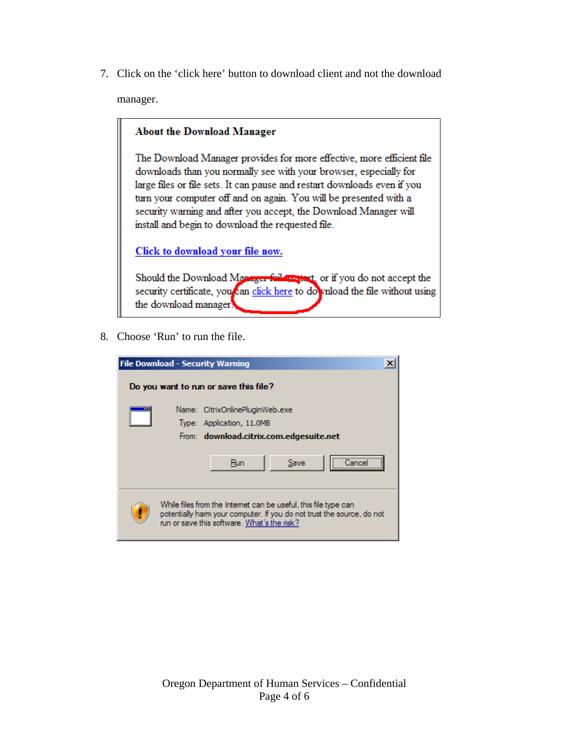7. Click on the 'click here' button to download client and not the download manager.

## **About the Download Manager**

The Download Manager provides for more effective, more efficient file downloads than you normally see with your browser, especially for large files or file sets. It can pause and restart downloads even if you turn your computer off and on again. You will be presented with a security warning and after you accept, the Download Manager will install and begin to download the requested file.

Click to download your file now.

Should the Download Manager following or if you do not accept the security certificate, you can click here to do vnload the file without using the download manager.

8. Choose 'Run' to run the file.

| <b>File Download - Security Warning</b>                                                                                                                                                  |  |
|------------------------------------------------------------------------------------------------------------------------------------------------------------------------------------------|--|
| Do you want to run or save this file?                                                                                                                                                    |  |
| Name: CitrixOnlinePluginWeb.exe<br>Type: Application, 11.0MB<br>From: download.citrix.com.edgesuite.net                                                                                  |  |
| Save<br>Run                                                                                                                                                                              |  |
| While files from the Internet can be useful, this file type can<br>potentially harm your computer. If you do not trust the source, do not<br>run or save this software. What's the risk? |  |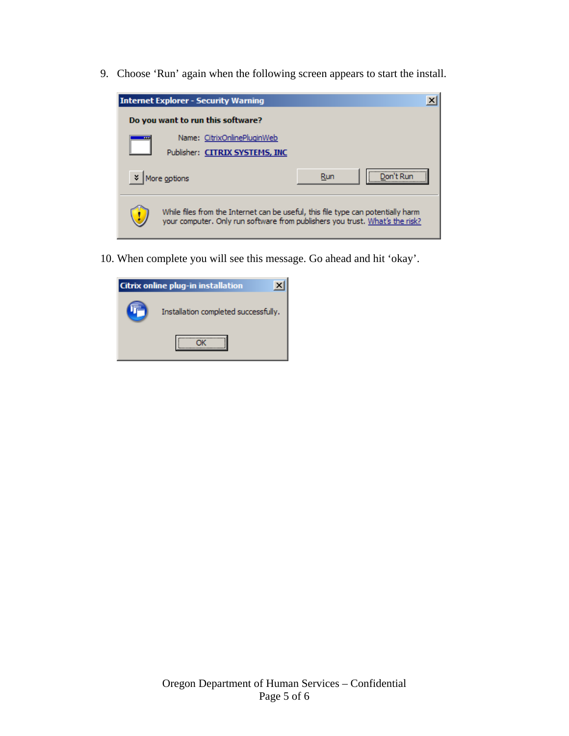9. Choose 'Run' again when the following screen appears to start the install.



10. When complete you will see this message. Go ahead and hit 'okay'.

| <b>Citrix online plug-in installation</b> |  |
|-------------------------------------------|--|
| Installation completed successfully.      |  |
|                                           |  |